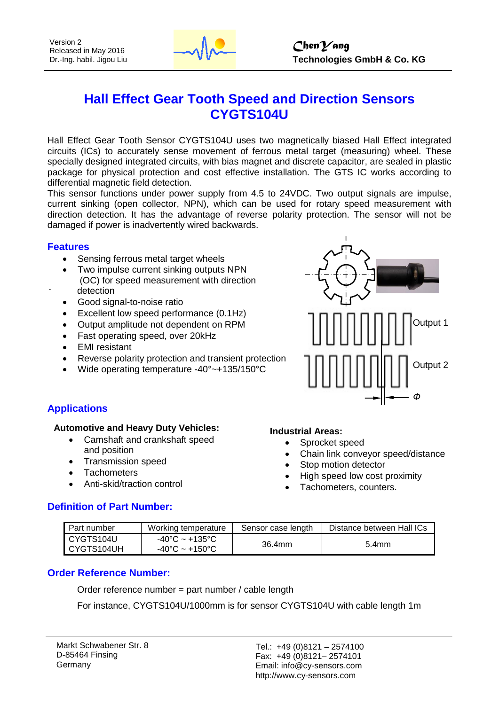

# **Hall Effect Gear Tooth Speed and Direction Sensors CYGTS104U**

Hall Effect Gear Tooth Sensor CYGTS104U uses two magnetically biased Hall Effect integrated circuits (ICs) to accurately sense movement of ferrous metal target (measuring) wheel. These specially designed integrated circuits, with bias magnet and discrete capacitor, are sealed in plastic package for physical protection and cost effective installation. The GTS IC works according to differential magnetic field detection.

This sensor functions under power supply from 4.5 to 24VDC. Two output signals are impulse, current sinking (open collector, NPN), which can be used for rotary speed measurement with direction detection. It has the advantage of reverse polarity protection. The sensor will not be damaged if power is inadvertently wired backwards.

#### **Features**

- Sensing ferrous metal target wheels
- Two impulse current sinking outputs NPN (OC) for speed measurement with direction detection
- Good signal-to-noise ratio
- Excellent low speed performance (0.1Hz)
- Output amplitude not dependent on RPM
- Fast operating speed, over 20kHz
- EMI resistant
- Reverse polarity protection and transient protection
- Wide operating temperature -40°~+135/150°C



#### **Applications**

#### **Automotive and Heavy Duty Vehicles:**

- Camshaft and crankshaft speed and position
- Transmission speed
- **Tachometers**
- Anti-skid/traction control

#### **Definition of Part Number:**

#### **Industrial Areas:**

- Sprocket speed
- Chain link conveyor speed/distance
- Stop motion detector
- High speed low cost proximity
- Tachometers, counters.

| I Part number | Working temperature                 | Sensor case length | Distance between Hall ICs |  |
|---------------|-------------------------------------|--------------------|---------------------------|--|
| CYGTS104U     | $-40^{\circ}$ C ~ +135°C            | 36.4mm             | 5.4 <sub>mm</sub>         |  |
| CYGTS104UH    | $-40^{\circ}$ C ~ +150 $^{\circ}$ C |                    |                           |  |

#### **Order Reference Number:**

Order reference number = part number / cable length

For instance, CYGTS104U/1000mm is for sensor CYGTS104U with cable length 1m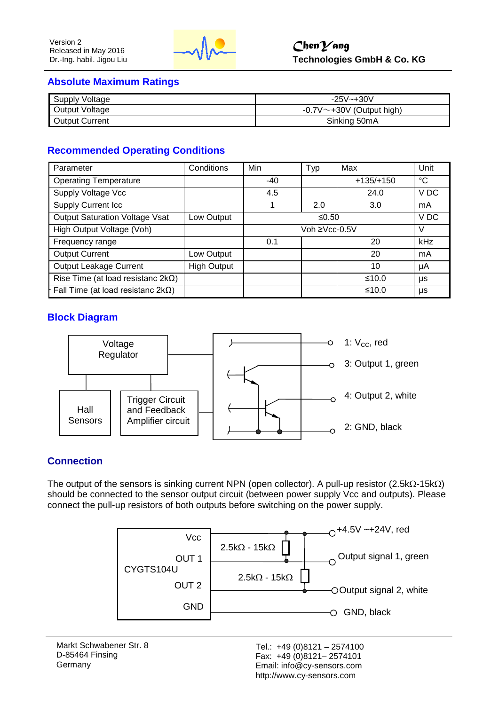

#### **Absolute Maximum Ratings**

| <b>Supply Voltage</b> | $-25V - +30V$                    |
|-----------------------|----------------------------------|
| Output Voltage        | $-0.7V^{\sim}+30V$ (Output high) |
| <b>Output Current</b> | Sinking 50mA                     |

## **Recommended Operating Conditions**

| Parameter                                 | Conditions         | Min           | Typ | Max         | Unit            |
|-------------------------------------------|--------------------|---------------|-----|-------------|-----------------|
| <b>Operating Temperature</b>              |                    | $-40$         |     | $+135/+150$ | $^{\circ}C$     |
| Supply Voltage Vcc                        |                    | 4.5           |     | 24.0        | V <sub>DC</sub> |
| <b>Supply Current Icc</b>                 |                    |               | 2.0 | 3.0         | mA              |
| <b>Output Saturation Voltage Vsat</b>     | Low Output         | ≤0.50         |     |             | VDC             |
| High Output Voltage (Voh)                 |                    | Voh ≥Vcc-0.5V |     | $\vee$      |                 |
| Frequency range                           |                    | 0.1           |     | 20          | kHz             |
| <b>Output Current</b>                     | Low Output         |               |     | 20          | mA              |
| <b>Output Leakage Current</b>             | <b>High Output</b> |               |     | 10          | μA              |
| Rise Time (at load resistanc $2k\Omega$ ) |                    |               |     | ≤10.0       | μs              |
| Fall Time (at load resistanc $2k\Omega$ ) |                    |               |     | ≤10.0       | μs              |

#### **Block Diagram**



#### **Connection**

The output of the sensors is sinking current NPN (open collector). A pull-up resistor (2.5k $\Omega$ -15k $\Omega$ ) should be connected to the sensor output circuit (between power supply Vcc and outputs). Please connect the pull-up resistors of both outputs before switching on the power supply.

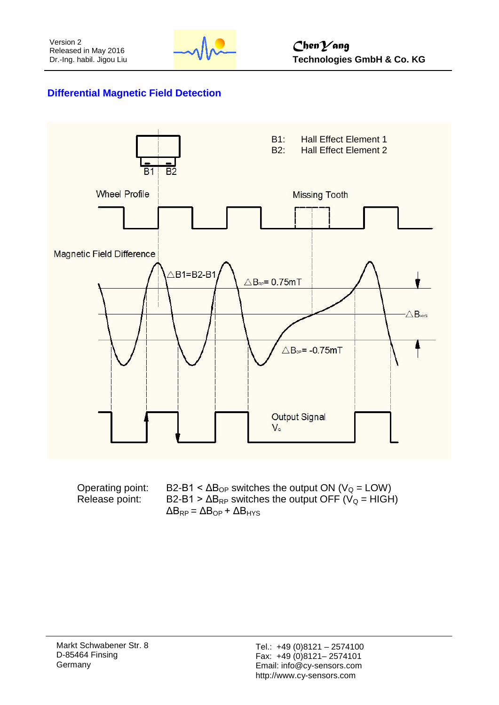

## **Differential Magnetic Field Detection**



| Operating point: | $B2-B1 < \Delta B_{OP}$ switches the output ON (V <sub>o</sub> = LOW)   |
|------------------|-------------------------------------------------------------------------|
| Release point:   | B2-B1 > $\Delta B_{RP}$ switches the output OFF (V <sub>Q</sub> = HIGH) |
|                  | $\Delta B_{RP} = \Delta B_{OP} + \Delta B_{HYS}$                        |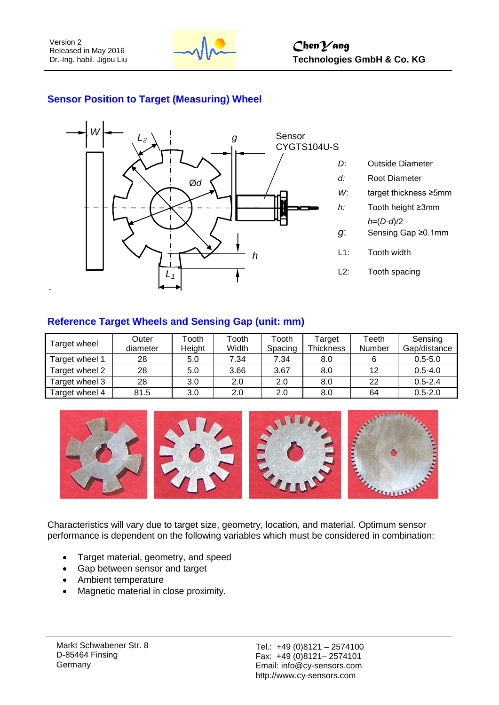

## **Sensor Position to Target (Measuring) Wheel**



- *D*: Outside Diameter *d:* Root Diameter
- *W*: target thickness ≥5mm
- *h:* Tooth height ≥3mm
	- *h*=(*D-d*)/2
- *g*: Sensing Gap ≥0.1mm
- L1: Tooth width
- L2: Tooth spacing

## **Reference Target Wheels and Sensing Gap (unit: mm)**

| Target wheel   | Outer    | Tooth  | Tooth | Tooth   | Target           | Teeth  | Sensing      |
|----------------|----------|--------|-------|---------|------------------|--------|--------------|
|                | diameter | Height | Width | Spacing | <b>Thickness</b> | Number | Gap/distance |
| Target wheel 1 | 28       | 5.0    | 7.34  | 7.34    | 8.0              |        | $0.5 - 5.0$  |
| Target wheel 2 | 28       | 5.0    | 3.66  | 3.67    | 8.0              | 12     | $0.5 - 4.0$  |
| Target wheel 3 | 28       | 3.0    | 2.0   | 2.0     | 8.0              | 22     | $0.5 - 2.4$  |
| Target wheel 4 | 81.5     | 3.0    | 2.0   | 2.0     | 8.0              | 64     | $0.5 - 2.0$  |



Characteristics will vary due to target size, geometry, location, and material. Optimum sensor performance is dependent on the following variables which must be considered in combination:

- Target material, geometry, and speed
- Gap between sensor and target
- Ambient temperature
- Magnetic material in close proximity.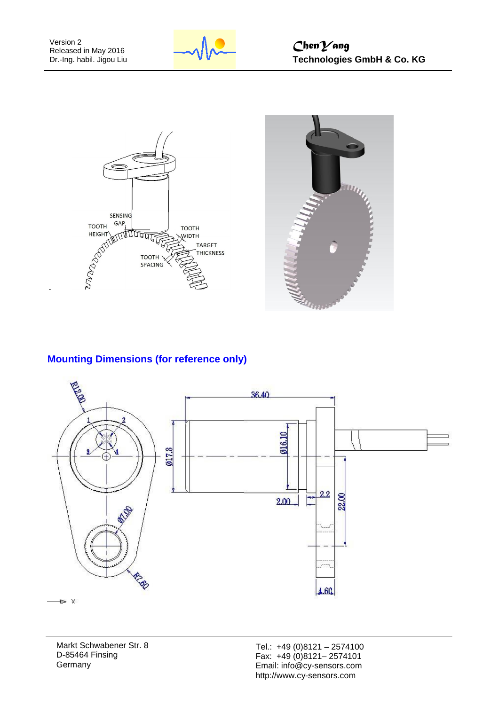





## **Mounting Dimensions (for reference only)**



Markt Schwabener Str. 8 D-85464 Finsing **Germany** 

Tel.: +49 (0)8121 – 2574100 Fax: +49 (0)8121– 2574101 Email: info@cy-sensors.com http://www.cy-sensors.com